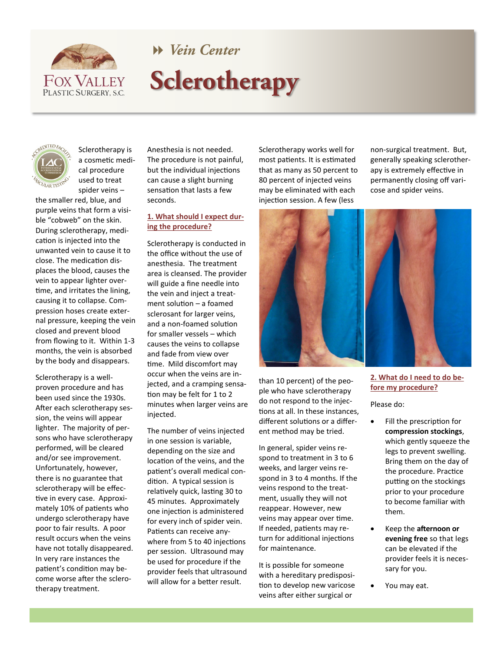

**W** Vein Center

# Sclerotherapy



Sclerotherapy is a cosmetic medical procedure used to treat spider veins –

the smaller red, blue, and purple veins that form a visible "cobweb" on the skin. During sclerotherapy, medication is injected into the unwanted vein to cause it to close. The medication displaces the blood, causes the vein to appear lighter overtime, and irritates the lining, causing it to collapse. Compression hoses create external pressure, keeping the vein closed and prevent blood from flowing to it. Within 1-3 months, the vein is absorbed by the body and disappears.

Sclerotherapy is a wellproven procedure and has been used since the 1930s. After each sclerotherapy session, the veins will appear lighter. The majority of persons who have sclerotherapy performed, will be cleared and/or see improvement. Unfortunately, however, there is no guarantee that sclerotherapy will be effective in every case. Approximately 10% of patients who undergo sclerotherapy have poor to fair results. A poor result occurs when the veins have not totally disappeared. In very rare instances the patient's condition may become worse after the sclerotherapy treatment.

Anesthesia is not needed. The procedure is not painful, but the individual injections can cause a slight burning sensation that lasts a few seconds.

# **1. What should I expect during the procedure?**

Sclerotherapy is conducted in the office without the use of anesthesia. The treatment area is cleansed. The provider will guide a fine needle into the vein and inject a treatment solution – a foamed sclerosant for larger veins, and a non-foamed solution for smaller vessels – which causes the veins to collapse and fade from view over time. Mild discomfort may occur when the veins are injected, and a cramping sensation may be felt for 1 to 2 minutes when larger veins are injected.

The number of veins injected in one session is variable, depending on the size and location of the veins, and the patient's overall medical condition. A typical session is relatively quick, lasting 30 to 45 minutes. Approximately one injection is administered for every inch of spider vein. Patients can receive anywhere from 5 to 40 injections per session. Ultrasound may be used for procedure if the provider feels that ultrasound will allow for a better result.

Sclerotherapy works well for most patients. It is estimated that as many as 50 percent to 80 percent of injected veins may be eliminated with each injection session. A few (less

non-surgical treatment. But, generally speaking sclerotherapy is extremely effective in permanently closing off varicose and spider veins.



than 10 percent) of the people who have sclerotherapy do not respond to the injections at all. In these instances, different solutions or a different method may be tried.

In general, spider veins respond to treatment in 3 to 6 weeks, and larger veins respond in 3 to 4 months. If the veins respond to the treatment, usually they will not reappear. However, new veins may appear over time. If needed, patients may return for additional injections for maintenance.

It is possible for someone with a hereditary predisposition to develop new varicose veins after either surgical or

## **2. What do I need to do before my procedure?**

Please do:

- Fill the prescription for **compression stockings**, which gently squeeze the legs to prevent swelling. Bring them on the day of the procedure. Practice putting on the stockings prior to your procedure to become familiar with them.
- Keep the **afternoon or evening free** so that legs can be elevated if the provider feels it is necessary for you.
- You may eat.